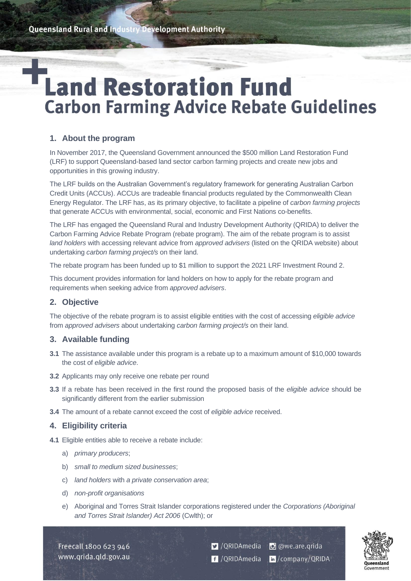# **Land Restoration Fund Carbon Farming Advice Rebate Guidelines**

# **1. About the program**

In November 2017, the Queensland Government announced the \$500 million Land Restoration Fund (LRF) to support Queensland-based land sector carbon farming projects and create new jobs and opportunities in this growing industry.

The LRF builds on the Australian Government's regulatory framework for generating Australian Carbon Credit Units (ACCUs). ACCUs are tradeable financial products regulated by the Commonwealth Clean Energy Regulator. The LRF has, as its primary objective, to facilitate a pipeline of *carbon farming projects* that generate ACCUs with environmental, social, economic and First Nations co-benefits.

The LRF has engaged the Queensland Rural and Industry Development Authority (QRIDA) to deliver the Carbon Farming Advice Rebate Program (rebate program). The aim of the rebate program is to assist *land holders* with accessing relevant advice from *approved advisers* (listed on the QRIDA website) about undertaking *carbon farming project/s* on their land.

The rebate program has been funded up to \$1 million to support the 2021 LRF Investment Round 2.

This document provides information for land holders on how to apply for the rebate program and requirements when seeking advice from *approved advisers*.

# **2. Objective**

The objective of the rebate program is to assist eligible entities with the cost of accessing *eligible advice* from *approved advisers* about undertaking *carbon farming project/s* on their land.

## **3. Available funding**

- **3.1** The assistance available under this program is a rebate up to a maximum amount of \$10,000 towards the cost of *eligible advice*.
- **3.2** Applicants may only receive one rebate per round
- **3.3** If a rebate has been received in the first round the proposed basis of the *eligible advice* should be significantly different from the earlier submission
- **3.4** The amount of a rebate cannot exceed the cost of *eligible advice* received.

# **4. Eligibility criteria**

- **4.1** Eligible entities able to receive a rebate include:
	- a) *primary producers*;
	- b) *small to medium sized businesses*;
	- c) *land holders* with *a private conservation area*;
	- d) *non-profit organisations*
	- e) Aboriginal and Torres Strait Islander corporations registered under the *Corporations (Aboriginal and Torres Strait Islander) Act 2006* (Cwlth); or

Freecall 1800 623 946 www.qrida.qld.gov.au O /QRIDAmedia O @we.are.qrida <sup>1</sup>/QRIDAmedia in/company/QRIDA

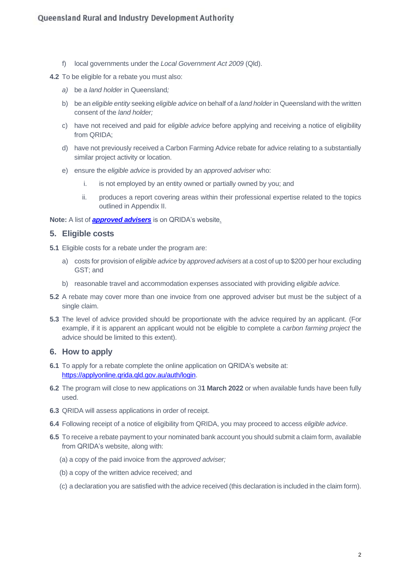f) local governments under the *Local Government Act 2009* (Qld).

**4.2** To be eligible for a rebate you must also:

- *a)* be a *land holder* in Queensland*;*
- b) be an *eligible entity* seeking *eligible advice* on behalf of a *land holder* in Queensland with the written consent of the *land holder;*
- c) have not received and paid for *eligible advice* before applying and receiving a notice of eligibility from QRIDA;
- d) have not previously received a Carbon Farming Advice rebate for advice relating to a substantially similar project activity or location.
- e) ensure the *eligible advice* is provided by an *approved adviser* who:
	- i. is not employed by an entity owned or partially owned by you; and
	- ii. produces a report covering areas within their professional expertise related to the topics outlined in Appendix II.

**Note:** A list of *[approved advisers](https://qrida.qld.gov.au/program/approved-adviser-program-under-carbon-farming-advice-rebate-program)* is on QRIDA's website.

#### **5. Eligible costs**

- **5.1** Eligible costs for a rebate under the program are:
	- a) costs for provision of *eligible advice* by *approved advisers* at a cost of up to \$200 per hour excluding GST; and
	- b) reasonable travel and accommodation expenses associated with providing *eligible advice.*
- **5.2** A rebate may cover more than one invoice from one approved adviser but must be the subject of a single claim.
- **5.3** The level of advice provided should be proportionate with the advice required by an applicant. (For example, if it is apparent an applicant would not be eligible to complete a *carbon farming project* the advice should be limited to this extent).

#### **6. How to apply**

- **6.1** To apply for a rebate complete the online application on QRIDA's website at: [https://applyonline.qrida.qld.gov.au/auth/login.](https://applyonline.qrida.qld.gov.au/auth/login)
- **6.2** The program will close to new applications on 3**1 March 2022** or when available funds have been fully used.
- **6.3** QRIDA will assess applications in order of receipt.
- **6.4** Following receipt of a notice of eligibility from QRIDA, you may proceed to access *eligible advice*.
- **6.5** To receive a rebate payment to your nominated bank account you should submit a claim form, available from QRIDA's website, along with:
	- (a) a copy of the paid invoice from the *approved adviser;*
	- (b) a copy of the written advice received; and
	- (c) a declaration you are satisfied with the advice received (this declaration is included in the claim form).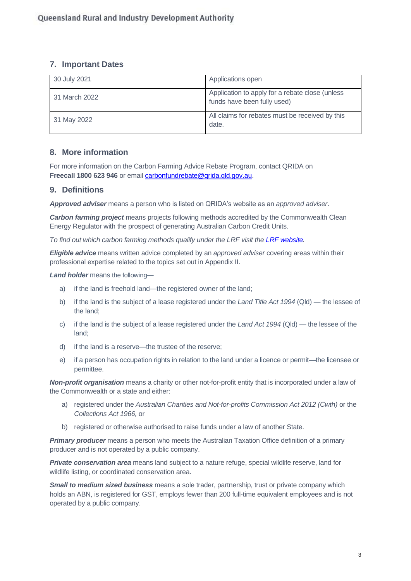## **7. Important Dates**

| 30 July 2021  | Applications open                                                              |
|---------------|--------------------------------------------------------------------------------|
| 31 March 2022 | Application to apply for a rebate close (unless<br>funds have been fully used) |
| 31 May 2022   | All claims for rebates must be received by this<br>date.                       |

## **8. More information**

For more information on the Carbon Farming Advice Rebate Program, contact QRIDA on Freecall 1800 623 946 or email *carbonfundrebate@qrida.qld.gov.au.* 

## **9. Definitions**

*Approved adviser* means a person who is listed on QRIDA's website as an *approved adviser*.

*Carbon farming project* means projects following methods accredited by the Commonwealth Clean Energy Regulator with the prospect of generating Australian Carbon Credit Units.

*To find out which carbon farming methods qualify under the LRF visit the [LRF website.](https://www.qld.gov.au/environment/climate/climate-change/land-restoration-fund/2021-investment-round-2)*

*Eligible advice* means written advice completed by an *approved adviser* covering areas within their professional expertise related to the topics set out in Appendix II.

*Land holder* means the following—

- a) if the land is freehold land—the registered owner of the land;
- b) if the land is the subject of a lease registered under the *Land Title Act 1994* (Qld) the lessee of the land;
- c) if the land is the subject of a lease registered under the *Land Act 1994* (Qld) the lessee of the land;
- d) if the land is a reserve—the trustee of the reserve;
- e) if a person has occupation rights in relation to the land under a licence or permit—the licensee or permittee.

*Non-profit organisation* means a charity or other not-for-profit entity that is incorporated under a law of the Commonwealth or a state and either:

- a) registered under the *Australian Charities and Not-for-profits Commission Act 2012 (Cwth)* or the *Collections Act 1966,* or
- b) registered or otherwise authorised to raise funds under a law of another State.

**Primary producer** means a person who meets the Australian Taxation Office definition of a primary producer and is not operated by a public company.

*Private conservation area* means land subject to a nature refuge, special wildlife reserve, land for wildlife listing, or coordinated conservation area.

*Small to medium sized business* means a sole trader, partnership, trust or private company which holds an ABN, is registered for GST, employs fewer than 200 full-time equivalent employees and is not operated by a public company.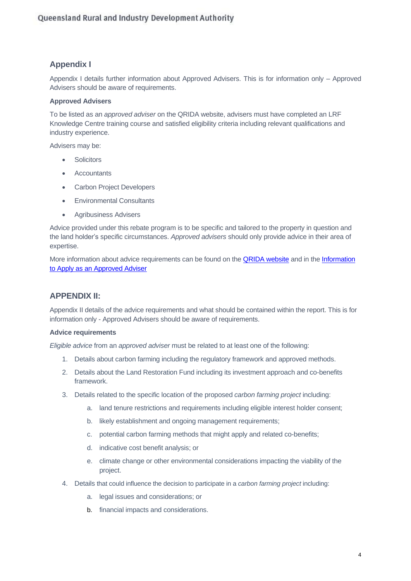## **Appendix I**

Appendix I details further information about Approved Advisers. This is for information only – Approved Advisers should be aware of requirements.

#### **Approved Advisers**

To be listed as an *approved adviser* on the QRIDA website, advisers must have completed an LRF Knowledge Centre training course and satisfied eligibility criteria including relevant qualifications and industry experience.

Advisers may be:

- Solicitors
- Accountants
- Carbon Project Developers
- Environmental Consultants
- Agribusiness Advisers

Advice provided under this rebate program is to be specific and tailored to the property in question and the land holder's specific circumstances. *Approved advisers* should only provide advice in their area of expertise.

More information about advice requirements can be found on the [QRIDA website](https://qrida.qld.gov.au/program/approved-adviser-program-under-carbon-farming-advice-rebate-program) and in the Information [to Apply as an Approved Adviser](https://qrida.qld.gov.au/s3fs-public/2020-08/carbon-farming-advice-rebate-information-for-adviser.pdf)

## **APPENDIX II:**

Appendix II details of the advice requirements and what should be contained within the report. This is for information only - Approved Advisers should be aware of requirements.

#### **Advice requirements**

*Eligible advice* from an *approved adviser* must be related to at least one of the following:

- 1. Details about carbon farming including the regulatory framework and approved methods.
- 2. Details about the Land Restoration Fund including its investment approach and co-benefits framework.
- 3. Details related to the specific location of the proposed *carbon farming project* including:
	- a. land tenure restrictions and requirements including eligible interest holder consent;
	- b. likely establishment and ongoing management requirements;
	- c. potential carbon farming methods that might apply and related co-benefits;
	- d. indicative cost benefit analysis; or
	- e. climate change or other environmental considerations impacting the viability of the project.
- 4. Details that could influence the decision to participate in a *carbon farming project* including:
	- a. legal issues and considerations; or
	- b. financial impacts and considerations.